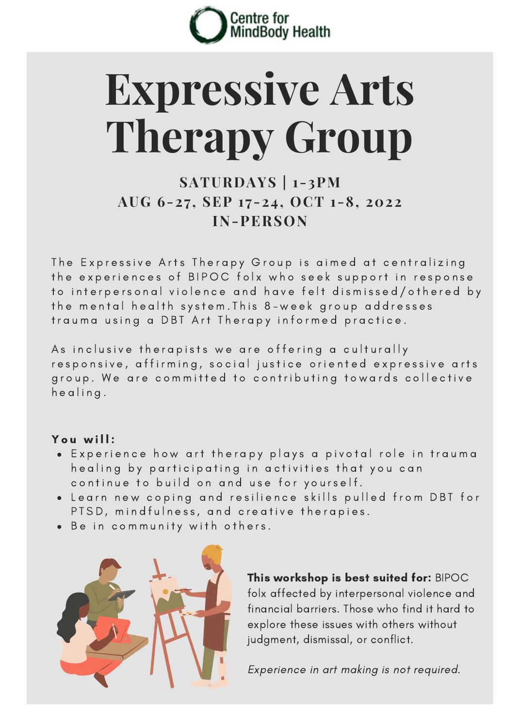

# **Expressive Arts Therapy Group**

## **SATURDAYS | 1-3PM AUG 6-27 , SEP 1 7-24, OCT 1-8, 2022 IN-PERSON**

The Expressive Arts Therapy Group is aimed at centralizing the experiences of BIPOC folx who seek support in response to interpersonal violence and have felt dismissed/othered by the mental health system. This 8-week group addresses trauma using a DBT Art Therapy informed practice.

As in clusive the rapists we are offering a culturally responsive, affirming, social justice oriented expressive arts group. We are committed to contributing towards collective h e alina.

#### You will:

- . Experience how art therapy plays a pivotal role in trauma healing by participating in activities that you can continue to build on and use for yourself.
- . Learn new coping and resilience skills pulled from DBT for PTSD, mindfulness, and creative therapies.
- . Be in community with others.



This workshop is best suited for: BIPOC folx affected by interpersonal violence and financial barriers. Those who find it hard to explore these issues with others without judgment, dismissal, or conflict.

Experience in art making is not required.